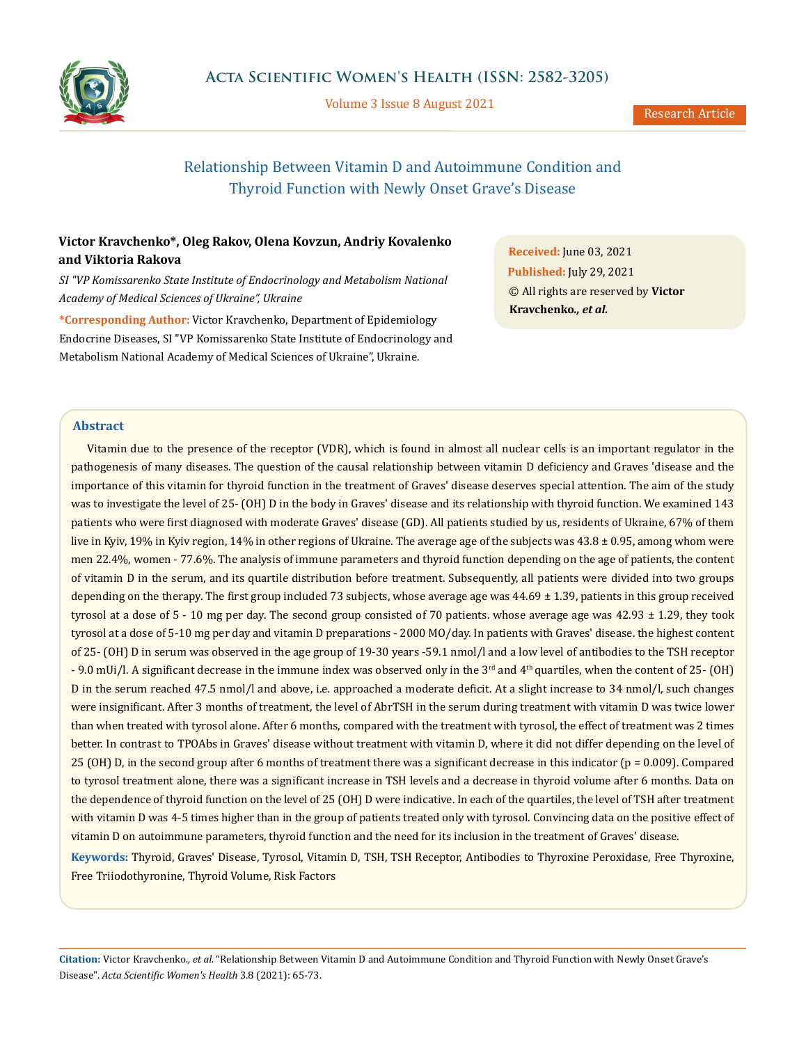

Volume 3 Issue 8 August 2021

# Relationship Between Vitamin D and Autoimmune Condition and Thyroid Function with Newly Onset Grave's Disease

# **Victor Kravchenko\*, Oleg Rakov, Olena Kovzun, Andriy Kovalenko and Viktoria Rakova**

*SI "VP Komissarenko State Institute of Endocrinology and Metabolism National Academy of Medical Sciences of Ukraine", Ukraine* 

**\*Corresponding Author:** Victor Kravchenko, Department of Epidemiology Endocrine Diseases, SI "VP Komissarenko State Institute of Endocrinology and Metabolism National Academy of Medical Sciences of Ukraine", Ukraine.

**Received:** June 03, 2021 **Published:** July 29, 2021 © All rights are reserved by **Victor Kravchenko***., et al.*

# **Abstract**

Vitamin due to the presence of the receptor (VDR), which is found in almost all nuclear cells is an important regulator in the pathogenesis of many diseases. The question of the causal relationship between vitamin D deficiency and Graves 'disease and the importance of this vitamin for thyroid function in the treatment of Graves' disease deserves special attention. The aim of the study was to investigate the level of 25- (OH) D in the body in Graves' disease and its relationship with thyroid function. We examined 143 patients who were first diagnosed with moderate Graves' disease (GD). All patients studied by us, residents of Ukraine, 67% of them live in Kyiv, 19% in Kyiv region, 14% in other regions of Ukraine. The average age of the subjects was 43.8 ± 0.95, among whom were men 22.4%, women - 77.6%. The analysis of immune parameters and thyroid function depending on the age of patients, the content of vitamin D in the serum, and its quartile distribution before treatment. Subsequently, all patients were divided into two groups depending on the therapy. The first group included 73 subjects, whose average age was 44.69 ± 1.39, patients in this group received tyrosol at a dose of 5 - 10 mg per day. The second group consisted of 70 patients. whose average age was 42.93 ± 1.29, they took tyrosol at a dose of 5-10 mg per day and vitamin D preparations - 2000 MO/day. In patients with Graves' disease. the highest content of 25- (OH) D in serum was observed in the age group of 19-30 years -59.1 nmol/l and a low level of antibodies to the TSH receptor  $-9.0$  mUi/l. A significant decrease in the immune index was observed only in the 3<sup>rd</sup> and 4<sup>th</sup> quartiles, when the content of 25- (OH) D in the serum reached 47.5 nmol/l and above, i.e. approached a moderate deficit. At a slight increase to 34 nmol/l, such changes were insignificant. After 3 months of treatment, the level of AbrTSH in the serum during treatment with vitamin D was twice lower than when treated with tyrosol alone. After 6 months, compared with the treatment with tyrosol, the effect of treatment was 2 times better. In contrast to TPOAbs in Graves' disease without treatment with vitamin D, where it did not differ depending on the level of 25 (OH) D, in the second group after 6 months of treatment there was a significant decrease in this indicator ( $p = 0.009$ ). Compared to tyrosol treatment alone, there was a significant increase in TSH levels and a decrease in thyroid volume after 6 months. Data on the dependence of thyroid function on the level of 25 (OH) D were indicative. In each of the quartiles, the level of TSH after treatment with vitamin D was 4-5 times higher than in the group of patients treated only with tyrosol. Convincing data on the positive effect of vitamin D on autoimmune parameters, thyroid function and the need for its inclusion in the treatment of Graves' disease.

**Keywords:** Thyroid, Graves' Disease, Tyrosol, Vitamin D, TSH, TSH Receptor, Antibodies to Thyroxine Peroxidase, Free Thyroxine, Free Triiodothyronine, Thyroid Volume, Risk Factors

**Citation:** Victor Kravchenko*., et al.* "Relationship Between Vitamin D and Autoimmune Condition and Thyroid Function with Newly Onset Grave's Disease". *Acta Scientific Women's Health* 3.8 (2021): 65-73.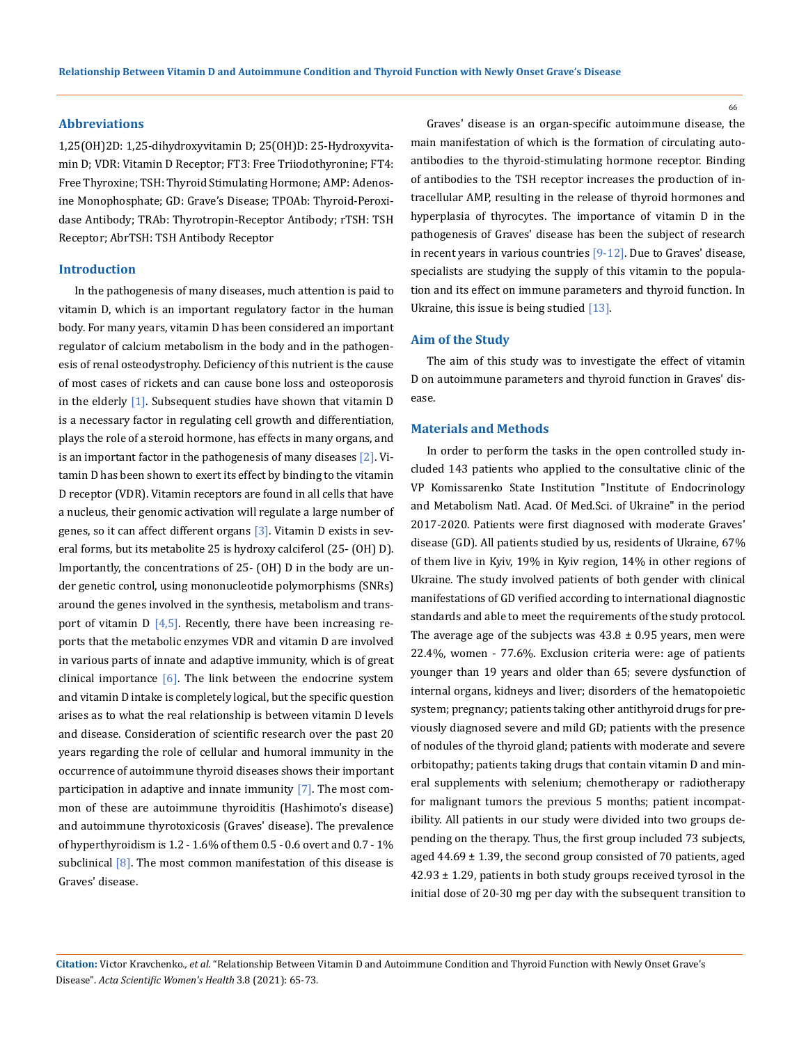### **Abbreviations**

1,25(OH)2D: 1,25-dihydroxyvitamin D; 25(OH)D: 25-Hydroxyvitamin D; VDR: Vitamin D Receptor; FT3: Free Triiodothyronine; FT4: Free Thyroxine; TSH: Thyroid Stimulating Hormone; AMP: Adenosine Monophosphate; GD: Grave's Disease; TPOAb: Thyroid-Peroxidase Antibody; TRAb: Thyrotropin-Receptor Antibody; rTSH: TSH Receptor; AbrTSH: TSH Antibody Receptor

#### **Introduction**

In the pathogenesis of many diseases, much attention is paid to vitamin D, which is an important regulatory factor in the human body. For many years, vitamin D has been considered an important regulator of calcium metabolism in the body and in the pathogenesis of renal osteodystrophy. Deficiency of this nutrient is the cause of most cases of rickets and can cause bone loss and osteoporosis in the elderly [1]. Subsequent studies have shown that vitamin D is a necessary factor in regulating cell growth and differentiation, plays the role of a steroid hormone, has effects in many organs, and is an important factor in the pathogenesis of many diseases [2]. Vitamin D has been shown to exert its effect by binding to the vitamin D receptor (VDR). Vitamin receptors are found in all cells that have a nucleus, their genomic activation will regulate a large number of genes, so it can affect different organs [3]. Vitamin D exists in several forms, but its metabolite 25 is hydroxy calciferol (25- (OH) D). Importantly, the concentrations of 25- (OH) D in the body are under genetic control, using mononucleotide polymorphisms (SNRs) around the genes involved in the synthesis, metabolism and transport of vitamin  $D$  [4,5]. Recently, there have been increasing reports that the metabolic enzymes VDR and vitamin D are involved in various parts of innate and adaptive immunity, which is of great clinical importance  $[6]$ . The link between the endocrine system and vitamin D intake is completely logical, but the specific question arises as to what the real relationship is between vitamin D levels and disease. Consideration of scientific research over the past 20 years regarding the role of cellular and humoral immunity in the occurrence of autoimmune thyroid diseases shows their important participation in adaptive and innate immunity  $[7]$ . The most common of these are autoimmune thyroiditis (Hashimoto's disease) and autoimmune thyrotoxicosis (Graves' disease). The prevalence of hyperthyroidism is 1.2 - 1.6% of them 0.5 - 0.6 overt and 0.7 - 1% subclinical  $[8]$ . The most common manifestation of this disease is Graves' disease.

Graves' disease is an organ-specific autoimmune disease, the main manifestation of which is the formation of circulating autoantibodies to the thyroid-stimulating hormone receptor. Binding of antibodies to the TSH receptor increases the production of intracellular AMP, resulting in the release of thyroid hormones and hyperplasia of thyrocytes. The importance of vitamin D in the pathogenesis of Graves' disease has been the subject of research in recent years in various countries [9-12]. Due to Graves' disease, specialists are studying the supply of this vitamin to the population and its effect on immune parameters and thyroid function. In Ukraine, this issue is being studied [13].

#### **Aim of the Study**

The aim of this study was to investigate the effect of vitamin D on autoimmune parameters and thyroid function in Graves' disease.

# **Materials and Methods**

In order to perform the tasks in the open controlled study included 143 patients who applied to the consultative clinic of the VP Komissarenko State Institution "Institute of Endocrinology and Metabolism Natl. Acad. Of Med.Sci. of Ukraine" in the period 2017-2020. Patients were first diagnosed with moderate Graves' disease (GD). All patients studied by us, residents of Ukraine, 67% of them live in Kyiv, 19% in Kyiv region, 14% in other regions of Ukraine. The study involved patients of both gender with clinical manifestations of GD verified according to international diagnostic standards and able to meet the requirements of the study protocol. The average age of the subjects was  $43.8 \pm 0.95$  years, men were 22.4%, women - 77.6%. Exclusion criteria were: age of patients younger than 19 years and older than 65; severe dysfunction of internal organs, kidneys and liver; disorders of the hematopoietic system; pregnancy; patients taking other antithyroid drugs for previously diagnosed severe and mild GD; patients with the presence of nodules of the thyroid gland; patients with moderate and severe orbitopathy; patients taking drugs that contain vitamin D and mineral supplements with selenium; chemotherapy or radiotherapy for malignant tumors the previous 5 months; patient incompatibility. All patients in our study were divided into two groups depending on the therapy. Thus, the first group included 73 subjects, aged  $44.69 \pm 1.39$ , the second group consisted of 70 patients, aged  $42.93 \pm 1.29$ , patients in both study groups received tyrosol in the initial dose of 20-30 mg per day with the subsequent transition to

**Citation:** Victor Kravchenko*., et al.* "Relationship Between Vitamin D and Autoimmune Condition and Thyroid Function with Newly Onset Grave's Disease". *Acta Scientific Women's Health* 3.8 (2021): 65-73.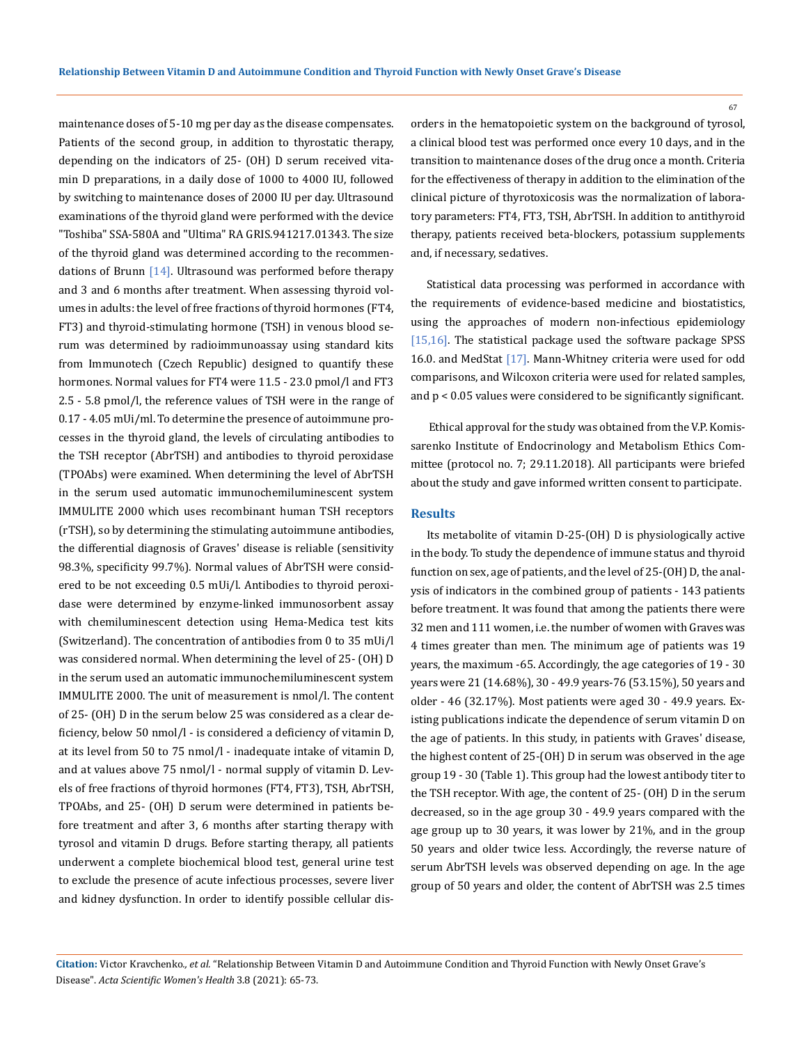maintenance doses of 5-10 mg per day as the disease compensates. Patients of the second group, in addition to thyrostatic therapy, depending on the indicators of 25- (OH) D serum received vitamin D preparations, in a daily dose of 1000 to 4000 IU, followed by switching to maintenance doses of 2000 IU per day. Ultrasound examinations of the thyroid gland were performed with the device "Toshiba" SSA-580A and "Ultima" RA GRIS.941217.01343. The size of the thyroid gland was determined according to the recommendations of Brunn  $[14]$ . Ultrasound was performed before therapy and 3 and 6 months after treatment. When assessing thyroid volumes in adults: the level of free fractions of thyroid hormones (FT4, FT3) and thyroid-stimulating hormone (TSH) in venous blood serum was determined by radioimmunoassay using standard kits from Immunotech (Czech Republic) designed to quantify these hormones. Normal values for FT4 were 11.5 - 23.0 pmol/l and FT3 2.5 - 5.8 pmol/l, the reference values of TSH were in the range of 0.17 - 4.05 mUi/ml. To determine the presence of autoimmune processes in the thyroid gland, the levels of circulating antibodies to the TSH receptor (AbrTSH) and antibodies to thyroid peroxidase (TPOAbs) were examined. When determining the level of AbrTSH in the serum used automatic immunochemiluminescent system IMMULITE 2000 which uses recombinant human TSH receptors (rTSH), so by determining the stimulating autoimmune antibodies, the differential diagnosis of Graves' disease is reliable (sensitivity 98.3%, specificity 99.7%). Normal values of AbrTSH were considered to be not exceeding 0.5 mUi/l. Antibodies to thyroid peroxidase were determined by enzyme-linked immunosorbent assay with chemiluminescent detection using Hema-Medica test kits (Switzerland). The concentration of antibodies from 0 to 35 mUi/l was considered normal. When determining the level of 25- (OH) D in the serum used an automatic immunochemiluminescent system IMMULITE 2000. The unit of measurement is nmol/l. The content of 25- (OH) D in the serum below 25 was considered as a clear deficiency, below 50 nmol/l - is considered a deficiency of vitamin D, at its level from 50 to 75 nmol/l - inadequate intake of vitamin D, and at values above 75 nmol/l - normal supply of vitamin D. Levels of free fractions of thyroid hormones (FT4, FT3), TSH, AbrTSH, TPOAbs, and 25- (OH) D serum were determined in patients before treatment and after 3, 6 months after starting therapy with tyrosol and vitamin D drugs. Before starting therapy, all patients underwent a complete biochemical blood test, general urine test to exclude the presence of acute infectious processes, severe liver and kidney dysfunction. In order to identify possible cellular disorders in the hematopoietic system on the background of tyrosol, a clinical blood test was performed once every 10 days, and in the transition to maintenance doses of the drug once a month. Criteria for the effectiveness of therapy in addition to the elimination of the clinical picture of thyrotoxicosis was the normalization of laboratory parameters: FT4, FT3, TSH, AbrTSH. In addition to antithyroid therapy, patients received beta-blockers, potassium supplements and, if necessary, sedatives.

Statistical data processing was performed in accordance with the requirements of evidence-based medicine and biostatistics, using the approaches of modern non-infectious epidemiology [15,16]. The statistical package used the software package SPSS 16.0. and MedStat [17]. Mann-Whitney criteria were used for odd comparisons, and Wilcoxon criteria were used for related samples, and p < 0.05 values were considered to be significantly significant.

 Ethical approval for the study was obtained from the V.P. Komissarenko Institute of Endocrinology and Metabolism Ethics Committee (protocol no. 7; 29.11.2018). All participants were briefed about the study and gave informed written consent to participate.

# **Results**

Its metabolite of vitamin D-25-(OH) D is physiologically active in the body. To study the dependence of immune status and thyroid function on sex, age of patients, and the level of 25-(OH) D, the analysis of indicators in the combined group of patients - 143 patients before treatment. It was found that among the patients there were 32 men and 111 women, i.e. the number of women with Graves was 4 times greater than men. The minimum age of patients was 19 years, the maximum -65. Accordingly, the age categories of 19 - 30 years were 21 (14.68%), 30 - 49.9 years-76 (53.15%), 50 years and older - 46 (32.17%). Most patients were aged 30 - 49.9 years. Existing publications indicate the dependence of serum vitamin D on the age of patients. In this study, in patients with Graves' disease, the highest content of 25-(OH) D in serum was observed in the age group 19 - 30 (Table 1). This group had the lowest antibody titer to the TSH receptor. With age, the content of 25- (OH) D in the serum decreased, so in the age group 30 - 49.9 years compared with the age group up to 30 years, it was lower by 21%, and in the group 50 years and older twice less. Accordingly, the reverse nature of serum AbrTSH levels was observed depending on age. In the age group of 50 years and older, the content of AbrTSH was 2.5 times

**Citation:** Victor Kravchenko*., et al.* "Relationship Between Vitamin D and Autoimmune Condition and Thyroid Function with Newly Onset Grave's Disease". *Acta Scientific Women's Health* 3.8 (2021): 65-73.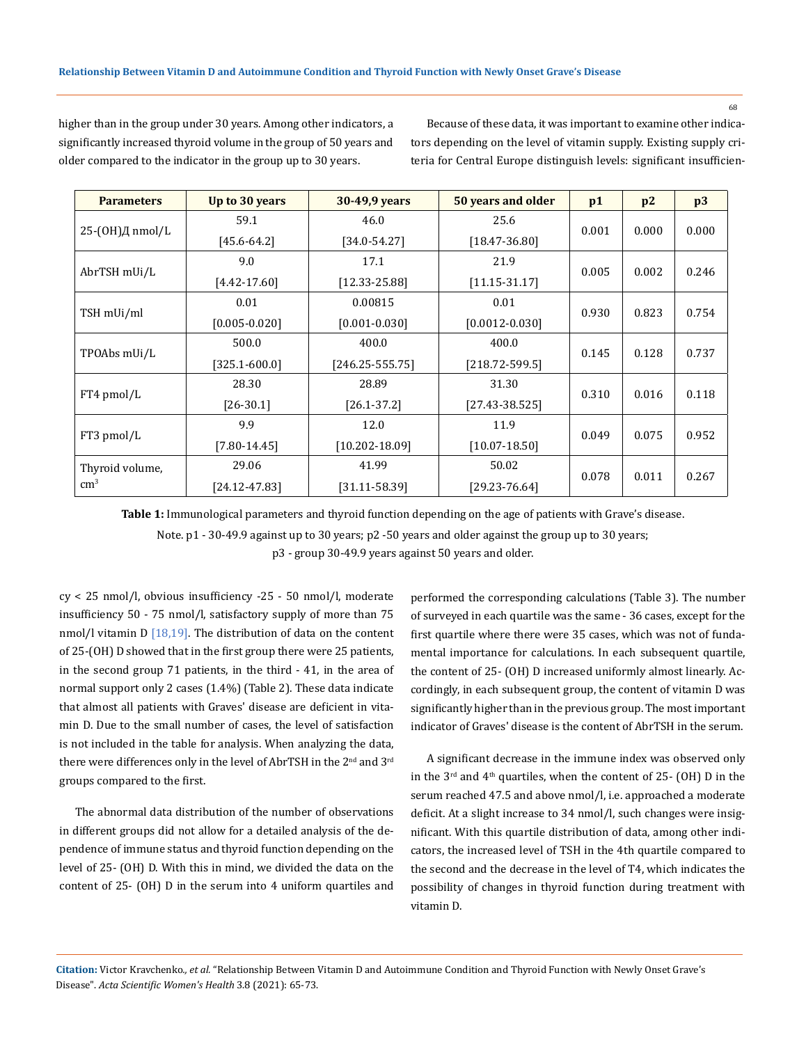68

higher than in the group under 30 years. Among other indicators, a significantly increased thyroid volume in the group of 50 years and older compared to the indicator in the group up to 30 years.

Because of these data, it was important to examine other indicators depending on the level of vitamin supply. Existing supply criteria for Central Europe distinguish levels: significant insufficien-

| <b>Parameters</b>   | Up to 30 years<br>30-49,9 years |                                         | 50 years and older         | p1    | p2    | p3    |
|---------------------|---------------------------------|-----------------------------------------|----------------------------|-------|-------|-------|
|                     | 59.1                            | 46.0                                    | 25.6                       |       |       |       |
| 25- $(OH)$ Д nmol/L | $[45.6 - 64.2]$                 | $[34.0 - 54.27]$<br>$[18.47 - 36.80]$   |                            | 0.001 | 0.000 | 0.000 |
|                     | 9.0<br>17.1<br>21.9             |                                         |                            |       |       |       |
| AbrTSH mUi/L        | $[4.42 - 17.60]$                | $[12.33 - 25.88]$                       | $[11.15 - 31.17]$          | 0.005 | 0.002 | 0.246 |
|                     | 0.01                            | 0.00815<br>0.01                         |                            |       |       |       |
| TSH mUi/ml          | $[0.005 - 0.020]$               | $[0.001 - 0.030]$                       | $[0.0012 - 0.030]$         | 0.930 | 0.823 | 0.754 |
| TPOAbs mUi/L        | 500.0                           | 400.0<br>400.0                          |                            |       |       |       |
|                     | $[325.1 - 600.0]$               | $[246.25 - 555.75]$                     | $[218.72 - 599.5]$         | 0.145 | 0.128 | 0.737 |
|                     | 28.30                           | 28.89                                   | 31.30                      | 0.310 |       |       |
| FT4 pmol/L          | $[26-30.1]$                     | $[26.1 - 37.2]$                         | $[27.43 - 38.525]$         |       | 0.016 | 0.118 |
|                     | 9.9                             | 12.0                                    | 11.9                       |       |       |       |
| FT3 pmol/L          | $[7.80 - 14.45]$                | $[10.202 - 18.09]$<br>$[10.07 - 18.50]$ |                            | 0.049 | 0.075 | 0.952 |
| Thyroid volume,     | 29.06                           | 41.99                                   | 50.02                      |       |       |       |
| $\rm cm^3$          | $[24.12 - 47.83]$               | $[31.11 - 58.39]$                       | 0.078<br>$[29.23 - 76.64]$ |       | 0.011 | 0.267 |

**Table 1:** Immunological parameters and thyroid function depending on the age of patients with Grave's disease.

Note. p1 - 30-49.9 against up to 30 years; p2 -50 years and older against the group up to 30 years;

p3 - group 30-49.9 years against 50 years and older.

cy < 25 nmol/l, obvious insufficiency -25 - 50 nmol/l, moderate insufficiency 50 - 75 nmol/l, satisfactory supply of more than 75 nmol/l vitamin  $D$  [18,19]. The distribution of data on the content of 25-(OH) D showed that in the first group there were 25 patients, in the second group 71 patients, in the third - 41, in the area of normal support only 2 cases (1.4%) (Table 2). These data indicate that almost all patients with Graves' disease are deficient in vitamin D. Due to the small number of cases, the level of satisfaction is not included in the table for analysis. When analyzing the data, there were differences only in the level of AbrTSH in the 2<sup>nd</sup> and 3<sup>rd</sup> groups compared to the first.

The abnormal data distribution of the number of observations in different groups did not allow for a detailed analysis of the dependence of immune status and thyroid function depending on the level of 25- (OH) D. With this in mind, we divided the data on the content of 25- (OH) D in the serum into 4 uniform quartiles and performed the corresponding calculations (Table 3). The number of surveyed in each quartile was the same - 36 cases, except for the first quartile where there were 35 cases, which was not of fundamental importance for calculations. In each subsequent quartile, the content of 25- (OH) D increased uniformly almost linearly. Accordingly, in each subsequent group, the content of vitamin D was significantly higher than in the previous group. The most important indicator of Graves' disease is the content of AbrTSH in the serum.

A significant decrease in the immune index was observed only in the  $3<sup>rd</sup>$  and  $4<sup>th</sup>$  quartiles, when the content of 25- (OH) D in the serum reached 47.5 and above nmol/l, i.e. approached a moderate deficit. At a slight increase to 34 nmol/l, such changes were insignificant. With this quartile distribution of data, among other indicators, the increased level of TSH in the 4th quartile compared to the second and the decrease in the level of T4, which indicates the possibility of changes in thyroid function during treatment with vitamin D.

**Citation:** Victor Kravchenko*., et al.* "Relationship Between Vitamin D and Autoimmune Condition and Thyroid Function with Newly Onset Grave's Disease". *Acta Scientific Women's Health* 3.8 (2021): 65-73.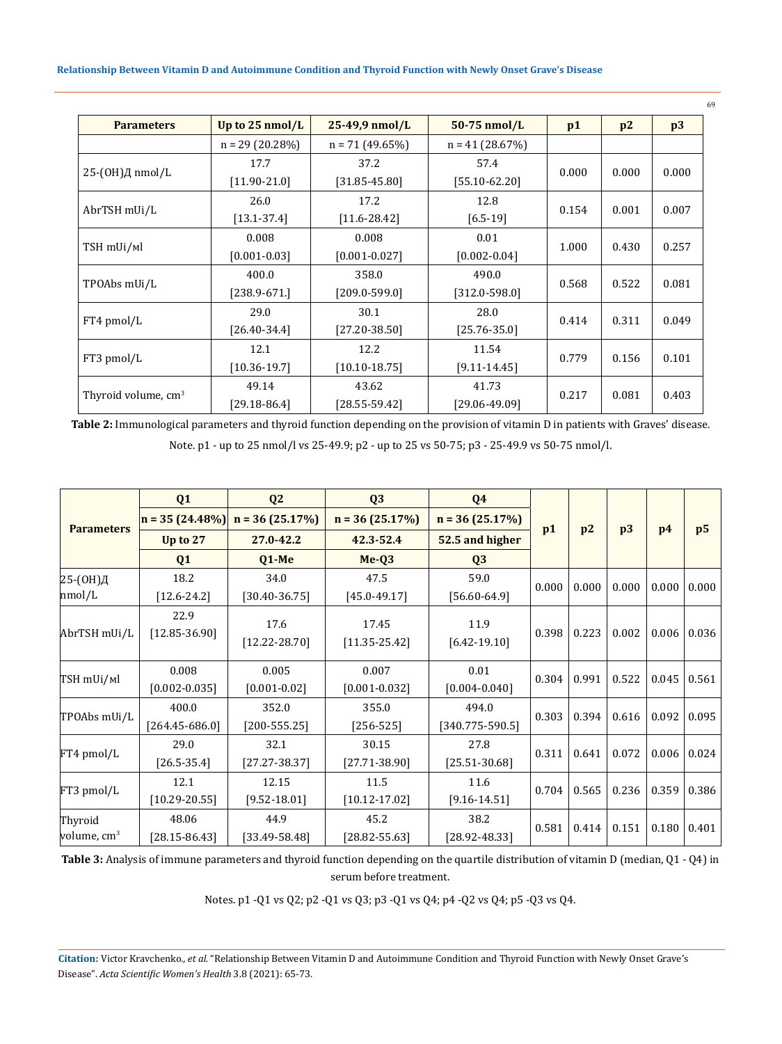| <b>Parameters</b>               | Up to $25 \text{ nmol/L}$ | 25-49,9 nmol/L    | $50-75$ nmol/L    | p1    | p2    | p3    |
|---------------------------------|---------------------------|-------------------|-------------------|-------|-------|-------|
|                                 | $n = 29(20.28%)$          | $n = 71(49.65%)$  | $n = 41$ (28.67%) |       |       |       |
|                                 | 17.7                      | 37.2              | 57.4              | 0.000 | 0.000 | 0.000 |
| 25-(OH)Д nmol/L                 | $[11.90 - 21.0]$          | $[31.85 - 45.80]$ | $[55.10 - 62.20]$ |       |       |       |
| AbrTSH mUi/L                    | 26.0                      | 17.2              | 12.8              | 0.154 | 0.001 | 0.007 |
|                                 | $[13.1 - 37.4]$           | $[11.6 - 28.42]$  | $[6.5-19]$        |       |       |       |
|                                 | 0.008                     | 0.008             | 0.01              | 1.000 | 0.430 | 0.257 |
| TSH mUi/ml                      | $[0.001 - 0.03]$          | $[0.001 - 0.027]$ | $[0.002 - 0.04]$  |       |       |       |
|                                 | 400.0                     | 358.0             | 490.0             | 0.568 | 0.522 | 0.081 |
| TPOAbs mUi/L                    | $[238.9 - 671.]$          | $[209.0 - 599.0]$ | $[312.0 - 598.0]$ |       |       |       |
|                                 | 29.0                      | 30.1              | 28.0              | 0.414 | 0.311 | 0.049 |
| FT4 pmol/L                      | $[26.40 - 34.4]$          | $[27.20 - 38.50]$ | $[25.76 - 35.0]$  |       |       |       |
|                                 | 12.1                      | 12.2              | 11.54             | 0.779 | 0.156 | 0.101 |
| FT3 pmol/L                      | $[10.36 - 19.7]$          | $[10.10 - 18.75]$ | $[9.11 - 14.45]$  |       |       |       |
|                                 | 49.14                     | 43.62             | 41.73             | 0.217 | 0.081 |       |
| Thyroid volume, cm <sup>3</sup> | $[29.18 - 86.4]$          | $[28.55 - 59.42]$ | $[29.06 - 49.09]$ |       |       | 0.403 |

**Table 2:** Immunological parameters and thyroid function depending on the provision of vitamin D in patients with Graves' disease. Note. p1 - up to 25 nmol/l vs 25-49.9; p2 - up to 25 vs 50-75; p3 - 25-49.9 vs 50-75 nmol/l.

|                          | Q1                          | Q <sub>2</sub>            | Q <sub>3</sub>             | Q <sub>4</sub>               |       |       |       |       |                |
|--------------------------|-----------------------------|---------------------------|----------------------------|------------------------------|-------|-------|-------|-------|----------------|
| <b>Parameters</b>        | $n = 35(24.48\%)$           | $n = 36(25.17%)$          | $n = 36(25.17%)$           | $n = 36(25.17%)$             |       |       |       |       |                |
|                          | Up to 27                    | 27.0-42.2                 | 42.3-52.4                  | 52.5 and higher              | p1    | p2    | p3    | p4    | p <sub>5</sub> |
|                          | Q <sub>1</sub>              | $Q1-Me$                   | $Me-Q3$                    | Q <sub>3</sub>               |       |       |       |       |                |
| 25-(ОН)Д                 | 18.2                        | 34.0                      | 47.5                       | 59.0                         | 0.000 | 0.000 | 0.000 | 0.000 | 0.000          |
| nmol/L                   | $[12.6 - 24.2]$             | $[30.40 - 36.75]$         | $[45.0 - 49.17]$           | $[56.60 - 64.9]$             |       |       |       |       |                |
| AbrTSH mUi/L             | 22.9<br>$[12.85 - 36.90]$   | 17.6<br>$[12.22 - 28.70]$ | 17.45<br>$[11.35 - 25.42]$ | 11.9<br>$[6.42 - 19.10]$     | 0.398 | 0.223 | 0.002 | 0.006 | 0.036          |
| TSH mUi/ml               | 0.008<br>$[0.002 - 0.035]$  | 0.005<br>$[0.001 - 0.02]$ | 0.007<br>$[0.001 - 0.032]$ | 0.01<br>$[0.004 - 0.040]$    | 0.304 | 0.991 | 0.522 | 0.045 | 0.561          |
| TPOAbs mUi/L             | 400.0<br>$[264.45 - 686.0]$ | 352.0<br>$[200 - 555.25]$ | 355.0<br>$[256 - 525]$     | 494.0<br>$[340.775 - 590.5]$ | 0.303 | 0.394 | 0.616 | 0.092 | 0.095          |
| FT4 pmol/L               | 29.0<br>$[26.5 - 35.4]$     | 32.1<br>$[27.27 - 38.37]$ | 30.15<br>$[27.71 - 38.90]$ | 27.8<br>$[25.51 - 30.68]$    | 0.311 | 0.641 | 0.072 | 0.006 | 0.024          |
| $FT3$ pmol/L             | 12.1<br>$[10.29 - 20.55]$   | 12.15<br>$[9.52 - 18.01]$ | 11.5<br>$[10.12 - 17.02]$  | 11.6<br>$[9.16 - 14.51]$     | 0.704 | 0.565 | 0.236 | 0.359 | 0.386          |
| Thyroid<br>volume, $cm3$ | 48.06<br>$[28.15 - 86.43]$  | 44.9<br>$[33.49 - 58.48]$ | 45.2<br>$[28.82 - 55.63]$  | 38.2<br>$[28.92 - 48.33]$    | 0.581 | 0.414 | 0.151 | 0.180 | 0.401          |

**Table 3:** Analysis of immune parameters and thyroid function depending on the quartile distribution of vitamin D (median, Q1 - Q4) in serum before treatment.

Notes. p1 -Q1 vs Q2; p2 -Q1 vs Q3; p3 -Q1 vs Q4; p4 -Q2 vs Q4; p5 -Q3 vs Q4.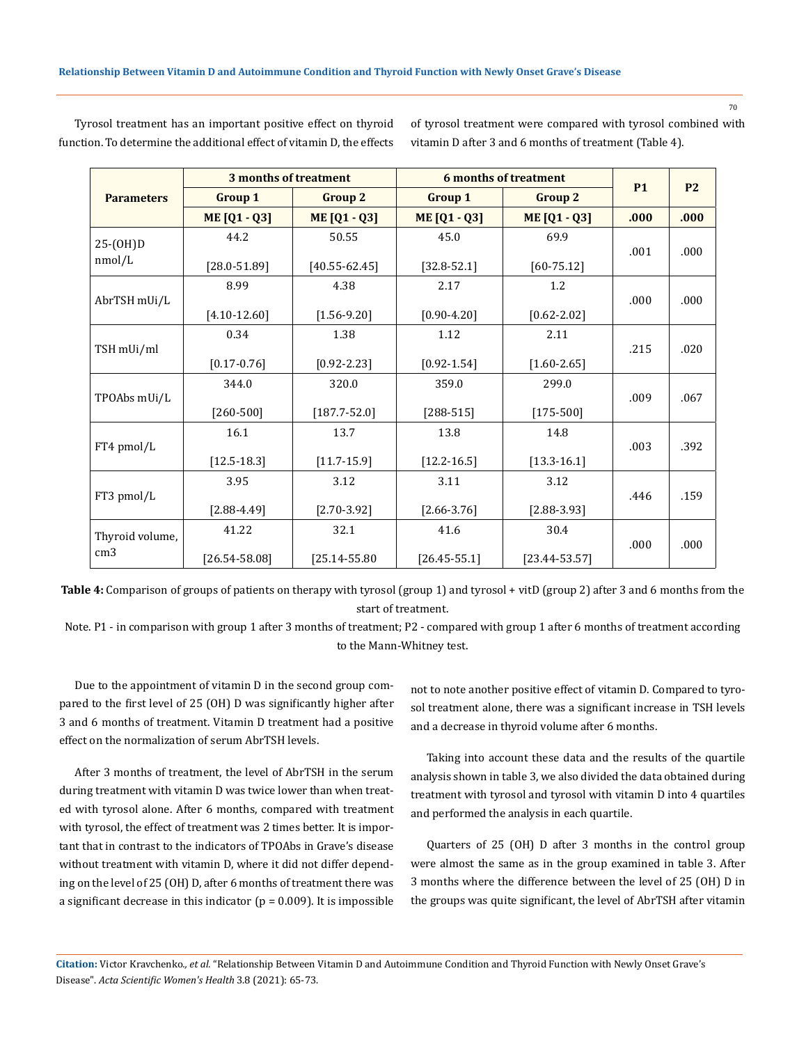70

|                   | 3 months of treatment |                   | <b>6 months of treatment</b>     |                     | <b>P2</b> |           |
|-------------------|-----------------------|-------------------|----------------------------------|---------------------|-----------|-----------|
| <b>Parameters</b> | <b>Group 1</b>        | <b>Group 2</b>    | <b>Group 1</b><br><b>Group 2</b> |                     |           | <b>P1</b> |
|                   | <b>ME [Q1 - Q3]</b>   | ME [Q1 - Q3]      | ME [Q1 - Q3]                     | <b>ME [Q1 - Q3]</b> | .000      | .000      |
| $25-(OH)D$        | 44.2                  | 50.55             | 45.0                             | 69.9                |           |           |
| nmol/L            | $[28.0 - 51.89]$      | $[40.55 - 62.45]$ | $[32.8 - 52.1]$                  | $[60 - 75.12]$      | .001      | .000      |
|                   | 8.99                  | 4.38              | 2.17                             | 1.2                 |           |           |
| AbrTSH mUi/L      | $[4.10 - 12.60]$      | $[1.56 - 9.20]$   | $[0.90 - 4.20]$                  | $[0.62 - 2.02]$     | .000      | .000      |
|                   | 0.34                  | 1.38              | 1.12                             | 2.11                |           |           |
| TSH mUi/ml        | $[0.17 - 0.76]$       | $[0.92 - 2.23]$   | $[0.92 - 1.54]$                  | $[1.60 - 2.65]$     | .215      | .020      |
|                   | 344.0                 | 320.0             | 359.0                            | 299.0               |           |           |
| TPOAbs mUi/L      | $[260 - 500]$         | $[187.7 - 52.0]$  | $[288-515]$                      | $[175-500]$         | .009      | .067      |
|                   | 16.1                  | 13.7              | 13.8                             | 14.8                |           |           |
| FT4 pmol/L        | $[12.5 - 18.3]$       | $[11.7 - 15.9]$   | $[12.2 - 16.5]$                  | $[13.3 - 16.1]$     | .003      | .392      |
|                   | 3.95                  | 3.12              | 3.11                             | 3.12                |           |           |
| FT3 pmol/L        | $[2.88 - 4.49]$       | $[2.70 - 3.92]$   | $[2.66 - 3.76]$                  | $[2.88 - 3.93]$     | .446      | .159      |
| Thyroid volume,   | 41.22                 | 32.1              | 41.6                             | 30.4                |           |           |
| cm <sub>3</sub>   | $[26.54 - 58.08]$     | $[25.14 - 55.80]$ | $[26.45 - 55.1]$                 | $[23.44 - 53.57]$   | .000      | .000      |

Tyrosol treatment has an important positive effect on thyroid function. To determine the additional effect of vitamin D, the effects of tyrosol treatment were compared with tyrosol combined with vitamin D after 3 and 6 months of treatment (Table 4).

**Table 4:** Comparison of groups of patients on therapy with tyrosol (group 1) and tyrosol + vitD (group 2) after 3 and 6 months from the start of treatment.

Note. P1 - in comparison with group 1 after 3 months of treatment; P2 - compared with group 1 after 6 months of treatment according to the Mann-Whitney test.

Due to the appointment of vitamin D in the second group compared to the first level of 25 (OH) D was significantly higher after 3 and 6 months of treatment. Vitamin D treatment had a positive effect on the normalization of serum AbrTSH levels.

After 3 months of treatment, the level of AbrTSH in the serum during treatment with vitamin D was twice lower than when treated with tyrosol alone. After 6 months, compared with treatment with tyrosol, the effect of treatment was 2 times better. It is important that in contrast to the indicators of TPOAbs in Grave's disease without treatment with vitamin D, where it did not differ depending on the level of 25 (OH) D, after 6 months of treatment there was a significant decrease in this indicator ( $p = 0.009$ ). It is impossible not to note another positive effect of vitamin D. Compared to tyrosol treatment alone, there was a significant increase in TSH levels and a decrease in thyroid volume after 6 months.

Taking into account these data and the results of the quartile analysis shown in table 3, we also divided the data obtained during treatment with tyrosol and tyrosol with vitamin D into 4 quartiles and performed the analysis in each quartile.

Quarters of 25 (OH) D after 3 months in the control group were almost the same as in the group examined in table 3. After 3 months where the difference between the level of 25 (OH) D in the groups was quite significant, the level of AbrTSH after vitamin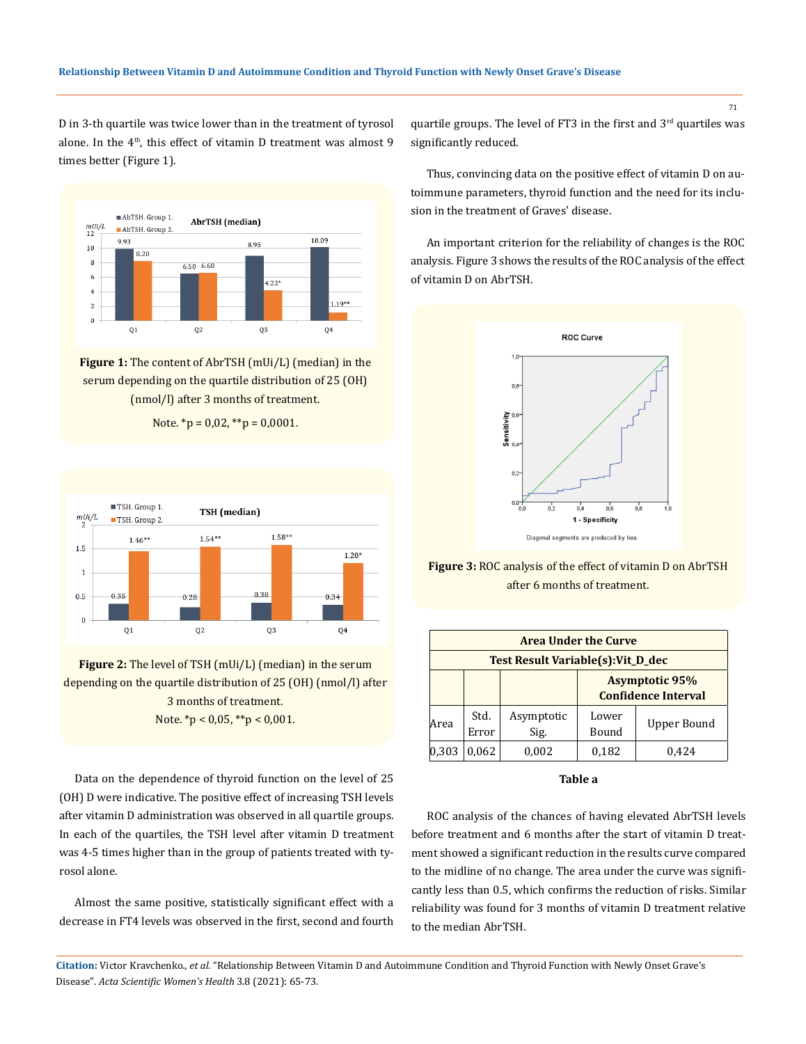D in 3-th quartile was twice lower than in the treatment of tyrosol alone. In the 4<sup>th</sup>, this effect of vitamin D treatment was almost 9 times better (Figure 1).



**Figure 1:** The content of AbrTSH (mUi/L) (median) in the serum depending on the quartile distribution of 25 (OH) (nmol/l) after 3 months of treatment.





**Figure 2:** The level of TSH (mUi/L) (median) in the serum depending on the quartile distribution of 25 (OH) (nmol/l) after 3 months of treatment. Note.  $*_{p}$  < 0,05,  $*_{p}$  < 0,001.

Data on the dependence of thyroid function on the level of 25 (OH) D were indicative. The positive effect of increasing TSH levels after vitamin D administration was observed in all quartile groups. In each of the quartiles, the TSH level after vitamin D treatment was 4-5 times higher than in the group of patients treated with tyrosol alone.

Almost the same positive, statistically significant effect with a decrease in FT4 levels was observed in the first, second and fourth quartile groups. The level of FT3 in the first and 3<sup>rd</sup> quartiles was significantly reduced.

Thus, convincing data on the positive effect of vitamin D on autoimmune parameters, thyroid function and the need for its inclusion in the treatment of Graves' disease.

An important criterion for the reliability of changes is the ROC analysis. Figure 3 shows the results of the ROC analysis of the effect of vitamin D on AbrTSH.



**Figure 3:** ROC analysis of the effect of vitamin D on AbrTSH after 6 months of treatment.

| <b>Area Under the Curve</b>        |               |                    |                                                     |             |  |  |  |
|------------------------------------|---------------|--------------------|-----------------------------------------------------|-------------|--|--|--|
| Test Result Variable(s): Vit_D_dec |               |                    |                                                     |             |  |  |  |
|                                    |               |                    | <b>Asymptotic 95%</b><br><b>Confidence Interval</b> |             |  |  |  |
| Area                               | Std.<br>Error | Asymptotic<br>Sig. | Lower<br>Bound                                      | Upper Bound |  |  |  |
|                                    | 0.062         | 0.002              | 0,182                                               | 0.424       |  |  |  |

### **Table a**

ROC analysis of the chances of having elevated AbrTSH levels before treatment and 6 months after the start of vitamin D treatment showed a significant reduction in the results curve compared to the midline of no change. The area under the curve was significantly less than 0.5, which confirms the reduction of risks. Similar reliability was found for 3 months of vitamin D treatment relative to the median AbrTSH.

**Citation:** Victor Kravchenko*., et al.* "Relationship Between Vitamin D and Autoimmune Condition and Thyroid Function with Newly Onset Grave's Disease". *Acta Scientific Women's Health* 3.8 (2021): 65-73.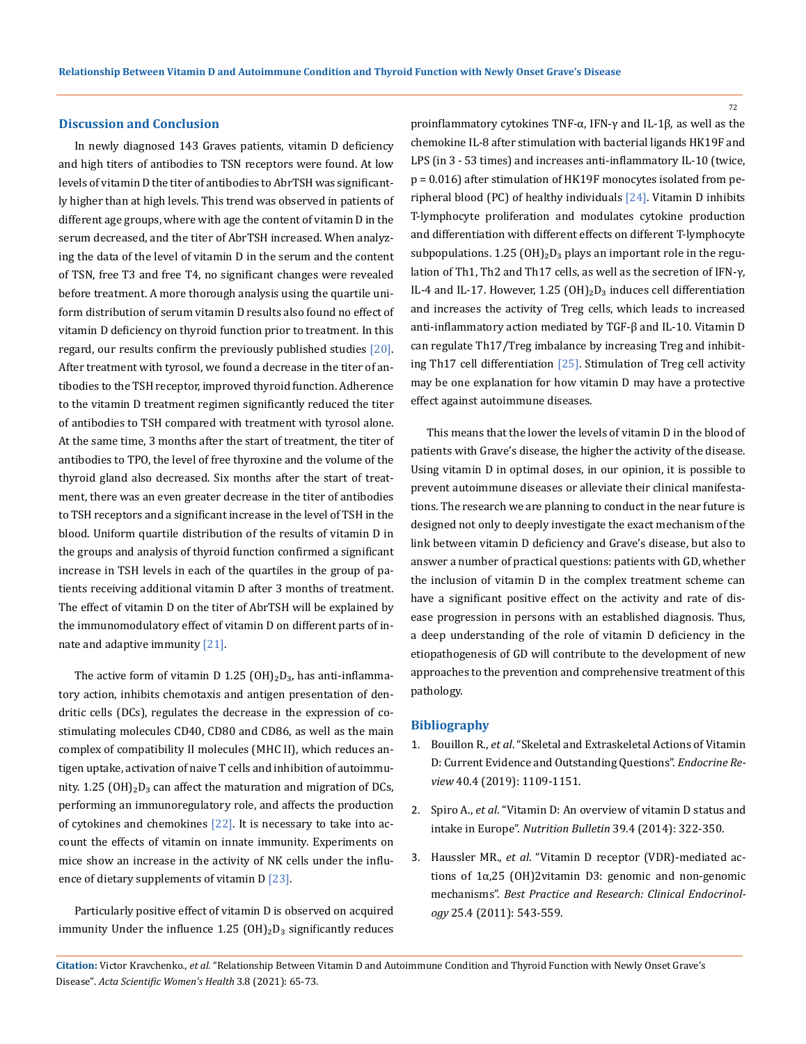#### **Discussion and Conclusion**

In newly diagnosed 143 Graves patients, vitamin D deficiency and high titers of antibodies to TSN receptors were found. At low levels of vitamin D the titer of antibodies to AbrTSH was significantly higher than at high levels. This trend was observed in patients of different age groups, where with age the content of vitamin D in the serum decreased, and the titer of AbrTSH increased. When analyzing the data of the level of vitamin D in the serum and the content of TSN, free T3 and free T4, no significant changes were revealed before treatment. A more thorough analysis using the quartile uniform distribution of serum vitamin D results also found no effect of vitamin D deficiency on thyroid function prior to treatment. In this regard, our results confirm the previously published studies [20]. After treatment with tyrosol, we found a decrease in the titer of antibodies to the TSH receptor, improved thyroid function. Adherence to the vitamin D treatment regimen significantly reduced the titer of antibodies to TSH compared with treatment with tyrosol alone. At the same time, 3 months after the start of treatment, the titer of antibodies to TPO, the level of free thyroxine and the volume of the thyroid gland also decreased. Six months after the start of treatment, there was an even greater decrease in the titer of antibodies to TSH receptors and a significant increase in the level of TSH in the blood. Uniform quartile distribution of the results of vitamin D in the groups and analysis of thyroid function confirmed a significant increase in TSH levels in each of the quartiles in the group of patients receiving additional vitamin D after 3 months of treatment. The effect of vitamin D on the titer of AbrTSH will be explained by the immunomodulatory effect of vitamin D on different parts of innate and adaptive immunity [21].

The active form of vitamin D 1.25  $(OH)_2D_3$ , has anti-inflammatory action, inhibits chemotaxis and antigen presentation of dendritic cells (DCs), regulates the decrease in the expression of costimulating molecules CD40, CD80 and CD86, as well as the main complex of compatibility II molecules (MHC II), which reduces antigen uptake, activation of naive T cells and inhibition of autoimmunity. 1.25 (OH) $_2$ D<sub>3</sub> can affect the maturation and migration of DCs, performing an immunoregulatory role, and affects the production of cytokines and chemokines  $[22]$ . It is necessary to take into account the effects of vitamin on innate immunity. Experiments on mice show an increase in the activity of NK cells under the influence of dietary supplements of vitamin D [23].

Particularly positive effect of vitamin D is observed on acquired immunity Under the influence  $1.25$  (OH) $_2$ D<sub>3</sub> significantly reduces proinflammatory cytokines TNF-α, IFN-γ and IL-1β, as well as the chemokine IL-8 after stimulation with bacterial ligands HK19F and LPS (in 3 - 53 times) and increases anti-inflammatory IL-10 (twice, p = 0.016) after stimulation of HK19F monocytes isolated from peripheral blood (PC) of healthy individuals [24]. Vitamin D inhibits T-lymphocyte proliferation and modulates cytokine production and differentiation with different effects on different T-lymphocyte subpopulations. 1.25 (OH)<sub>2</sub>D<sub>3</sub> plays an important role in the regulation of Th1, Th2 and Th17 cells, as well as the secretion of IFN-γ, IL-4 and IL-17. However, 1.25 (OH)<sub>2</sub>D<sub>3</sub> induces cell differentiation and increases the activity of Treg cells, which leads to increased anti-inflammatory action mediated by TGF-β and IL-10. Vitamin D can regulate Th17/Treg imbalance by increasing Treg and inhibiting Th17 cell differentiation [25]. Stimulation of Treg cell activity may be one explanation for how vitamin D may have a protective effect against autoimmune diseases.

This means that the lower the levels of vitamin D in the blood of patients with Grave's disease, the higher the activity of the disease. Using vitamin D in optimal doses, in our opinion, it is possible to prevent autoimmune diseases or alleviate their clinical manifestations. The research we are planning to conduct in the near future is designed not only to deeply investigate the exact mechanism of the link between vitamin D deficiency and Grave's disease, but also to answer a number of practical questions: patients with GD, whether the inclusion of vitamin D in the complex treatment scheme can have a significant positive effect on the activity and rate of disease progression in persons with an established diagnosis. Thus, a deep understanding of the role of vitamin D deficiency in the etiopathogenesis of GD will contribute to the development of new approaches to the prevention and comprehensive treatment of this pathology.

#### **Bibliography**

- 1. Bouillon R., *et al*[. "Skeletal and Extraskeletal Actions of Vitamin](https://pubmed.ncbi.nlm.nih.gov/30321335/) [D: Current Evidence and Outstanding Questions".](https://pubmed.ncbi.nlm.nih.gov/30321335/) *Endocrine Review* [40.4 \(2019\): 1109-1151.](https://pubmed.ncbi.nlm.nih.gov/30321335/)
- 2. Spiro A., *et al*[. "Vitamin D: An overview of vitamin D status and](https://onlinelibrary.wiley.com/doi/full/10.1111/nbu.12108) intake in Europe". *Nutrition Bulletin* [39.4 \(2014\): 322-350.](https://onlinelibrary.wiley.com/doi/full/10.1111/nbu.12108)
- 3. Haussler MR., *et al*[. "Vitamin D receptor \(VDR\)-mediated ac](https://pubmed.ncbi.nlm.nih.gov/21872797/)[tions of 1α,25 \(OH\)2vitamin D3: genomic and non-genomic](https://pubmed.ncbi.nlm.nih.gov/21872797/) mechanisms". *[Best Practice and Research: Clinical Endocrinol](https://pubmed.ncbi.nlm.nih.gov/21872797/)ogy* [25.4 \(2011\): 543-559.](https://pubmed.ncbi.nlm.nih.gov/21872797/)

**Citation:** Victor Kravchenko*., et al.* "Relationship Between Vitamin D and Autoimmune Condition and Thyroid Function with Newly Onset Grave's Disease". *Acta Scientific Women's Health* 3.8 (2021): 65-73.